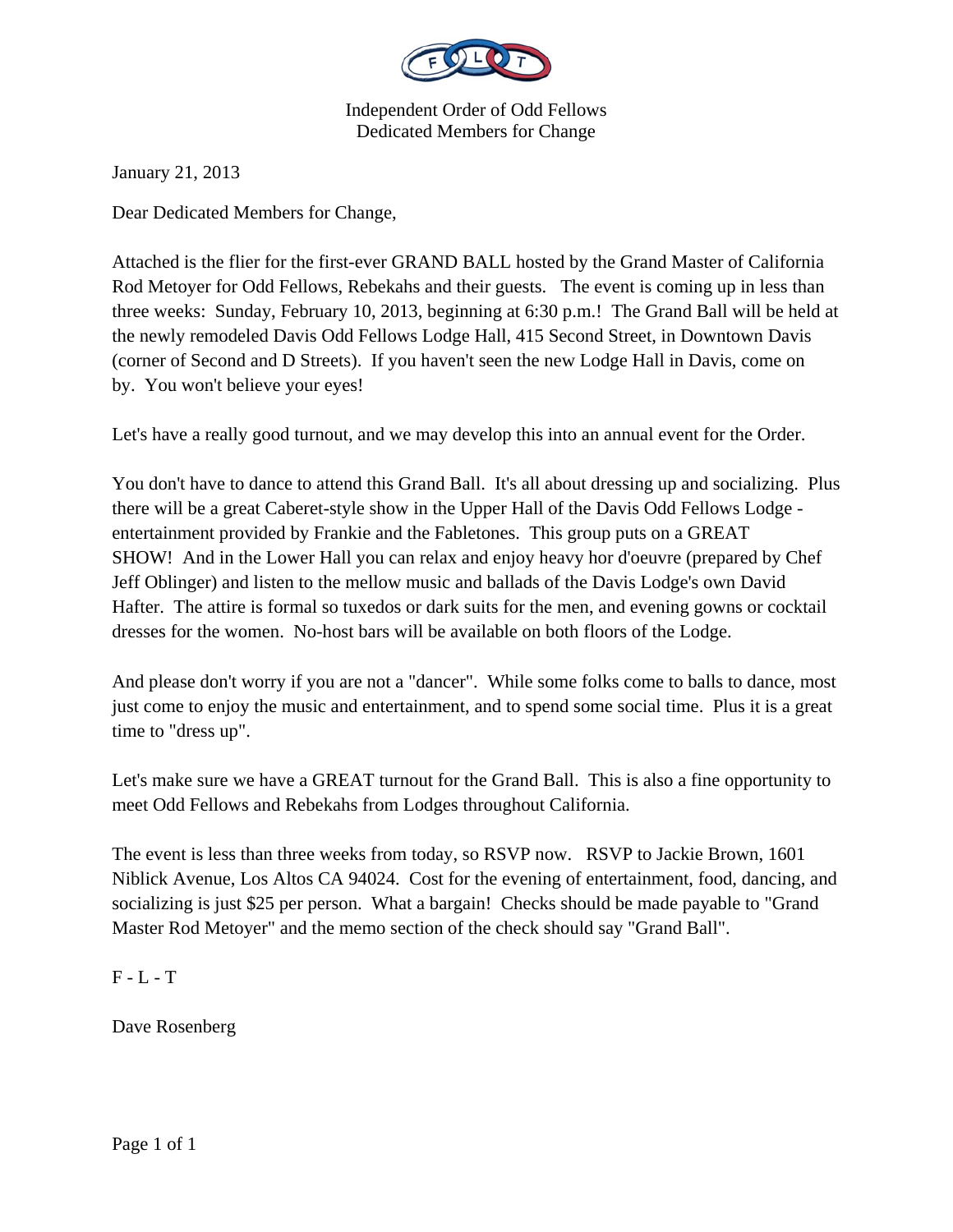

Independent Order of Odd Fellows Dedicated Members for Change

January 21, 2013

Dear Dedicated Members for Change,

Attached is the flier for the first-ever GRAND BALL hosted by the Grand Master of California Rod Metoyer for Odd Fellows, Rebekahs and their guests. The event is coming up in less than three weeks: Sunday, February 10, 2013, beginning at 6:30 p.m.! The Grand Ball will be held at the newly remodeled Davis Odd Fellows Lodge Hall, 415 Second Street, in Downtown Davis (corner of Second and D Streets). If you haven't seen the new Lodge Hall in Davis, come on by. You won't believe your eyes!

Let's have a really good turnout, and we may develop this into an annual event for the Order.

You don't have to dance to attend this Grand Ball. It's all about dressing up and socializing. Plus there will be a great Caberet-style show in the Upper Hall of the Davis Odd Fellows Lodge entertainment provided by Frankie and the Fabletones. This group puts on a GREAT SHOW! And in the Lower Hall you can relax and enjoy heavy hor d'oeuvre (prepared by Chef Jeff Oblinger) and listen to the mellow music and ballads of the Davis Lodge's own David Hafter. The attire is formal so tuxedos or dark suits for the men, and evening gowns or cocktail dresses for the women. No-host bars will be available on both floors of the Lodge.

And please don't worry if you are not a "dancer". While some folks come to balls to dance, most just come to enjoy the music and entertainment, and to spend some social time. Plus it is a great time to "dress up".

Let's make sure we have a GREAT turnout for the Grand Ball. This is also a fine opportunity to meet Odd Fellows and Rebekahs from Lodges throughout California.

The event is less than three weeks from today, so RSVP now. RSVP to Jackie Brown, 1601 Niblick Avenue, Los Altos CA 94024. Cost for the evening of entertainment, food, dancing, and socializing is just \$25 per person. What a bargain! Checks should be made payable to "Grand Master Rod Metoyer" and the memo section of the check should say "Grand Ball".

## $F - L - T$

Dave Rosenberg